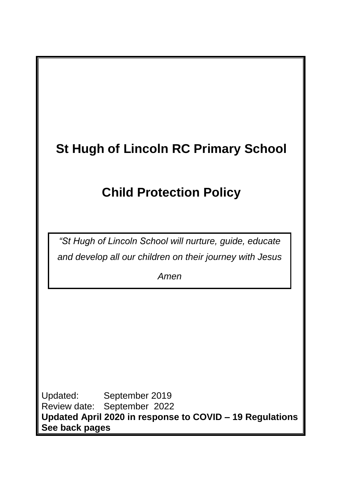# **St Hugh of Lincoln RC Primary School**

# **Child Protection Policy**

*"St Hugh of Lincoln School will nurture, guide, educate and develop all our children on their journey with Jesus*

*Amen*

Updated: September 2019 Review date: September 2022 **Updated April 2020 in response to COVID – 19 Regulations See back pages**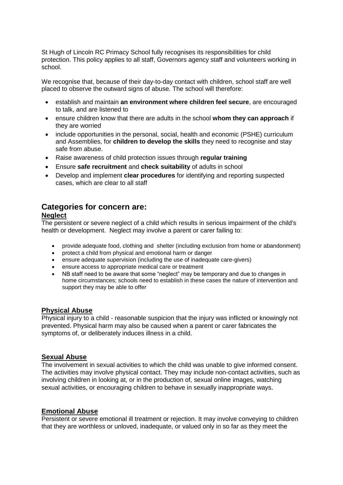St Hugh of Lincoln RC Primacy School fully recognises its responsibilities for child protection. This policy applies to all staff, Governors agency staff and volunteers working in school.

We recognise that, because of their day-to-day contact with children, school staff are well placed to observe the outward signs of abuse. The school will therefore:

- establish and maintain **an environment where children feel secure**, are encouraged to talk, and are listened to
- ensure children know that there are adults in the school **whom they can approach** if they are worried
- include opportunities in the personal, social, health and economic (PSHE) curriculum and Assemblies, for **children to develop the skills** they need to recognise and stay safe from abuse.
- Raise awareness of child protection issues through **regular training**
- Ensure **safe recruitment** and **check suitability** of adults in school
- Develop and implement **clear procedures** for identifying and reporting suspected cases, which are clear to all staff

# **Categories for concern are:**

#### **Neglect**

The persistent or severe neglect of a child which results in serious impairment of the child's health or development. Neglect may involve a parent or carer failing to:

- provide adequate food, clothing and shelter (including exclusion from home or abandonment)
- protect a child from physical and emotional harm or danger
- ensure adequate supervision (including the use of inadequate care-givers)
- ensure access to appropriate medical care or treatment
- NB staff need to be aware that some "neglect" may be temporary and due to changes in home circumstances; schools need to establish in these cases the nature of intervention and support they may be able to offer

#### **Physical Abuse**

Physical injury to a child - reasonable suspicion that the injury was inflicted or knowingly not prevented. Physical harm may also be caused when a parent or carer fabricates the symptoms of, or deliberately induces illness in a child.

#### **Sexual Abuse**

The involvement in sexual activities to which the child was unable to give informed consent. The activities may involve physical contact. They may include non-contact activities, such as involving children in looking at, or in the production of, sexual online images, watching sexual activities, or encouraging children to behave in sexually inappropriate ways.

#### **Emotional Abuse**

Persistent or severe emotional ill treatment or rejection. It may involve conveying to children that they are worthless or unloved, inadequate, or valued only in so far as they meet the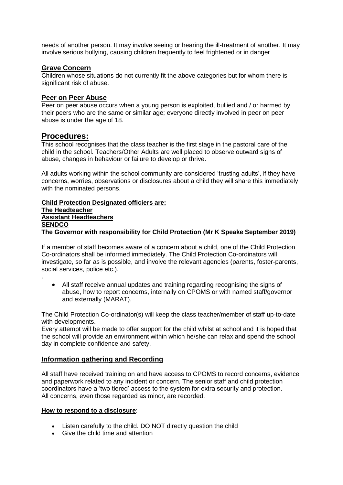needs of another person. It may involve seeing or hearing the ill-treatment of another. It may involve serious bullying, causing children frequently to feel frightened or in danger

### **Grave Concern**

Children whose situations do not currently fit the above categories but for whom there is significant risk of abuse.

#### **Peer on Peer Abuse**

Peer on peer abuse occurs when a young person is exploited, bullied and / or harmed by their peers who are the same or similar age; everyone directly involved in peer on peer abuse is under the age of 18.

### **Procedures:**

.

This school recognises that the class teacher is the first stage in the pastoral care of the child in the school. Teachers/Other Adults are well placed to observe outward signs of abuse, changes in behaviour or failure to develop or thrive.

All adults working within the school community are considered 'trusting adults', if they have concerns, worries, observations or disclosures about a child they will share this immediately with the nominated persons.

#### **Child Protection Designated officiers are: The Headteacher Assistant Headteachers SENDCO The Governor with responsibility for Child Protection (Mr K Speake September 2019)**

If a member of staff becomes aware of a concern about a child, one of the Child Protection Co-ordinators shall be informed immediately. The Child Protection Co-ordinators will investigate, so far as is possible, and involve the relevant agencies (parents, foster-parents, social services, police etc.).

 All staff receive annual updates and training regarding recognising the signs of abuse, how to report concerns, internally on CPOMS or with named staff/governor and externally (MARAT).

The Child Protection Co-ordinator(s) will keep the class teacher/member of staff up-to-date with developments.

Every attempt will be made to offer support for the child whilst at school and it is hoped that the school will provide an environment within which he/she can relax and spend the school day in complete confidence and safety.

#### **Information gathering and Recording**

All staff have received training on and have access to CPOMS to record concerns, evidence and paperwork related to any incident or concern. The senior staff and child protection coordinators have a 'two tiered' access to the system for extra security and protection. All concerns, even those regarded as minor, are recorded.

#### **How to respond to a disclosure**:

- Listen carefully to the child. DO NOT directly question the child
- Give the child time and attention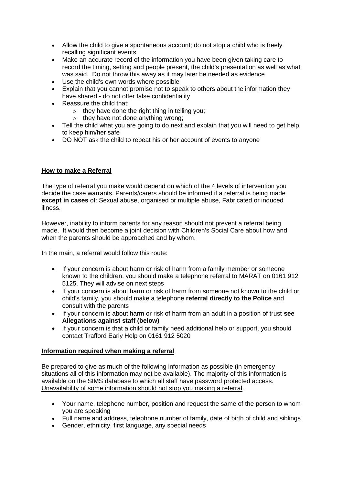- Allow the child to give a spontaneous account; do not stop a child who is freely recalling significant events
- Make an accurate record of the information you have been given taking care to record the timing, setting and people present, the child's presentation as well as what was said. Do not throw this away as it may later be needed as evidence
- Use the child's own words where possible
- Explain that you cannot promise not to speak to others about the information they have shared - do not offer false confidentiality
- Reassure the child that:
	- o they have done the right thing in telling you;
	- $\circ$  they have not done anything wrong:
- Tell the child what you are going to do next and explain that you will need to get help to keep him/her safe
- DO NOT ask the child to repeat his or her account of events to anyone

#### **How to make a Referral**

The type of referral you make would depend on which of the 4 levels of intervention you decide the case warrants. Parents/carers should be informed if a referral is being made **except in cases** of: Sexual abuse, organised or multiple abuse, Fabricated or induced illness.

However, inability to inform parents for any reason should not prevent a referral being made. It would then become a joint decision with Children's Social Care about how and when the parents should be approached and by whom.

In the main, a referral would follow this route:

- If your concern is about harm or risk of harm from a family member or someone known to the children, you should make a telephone referral to MARAT on 0161 912 5125. They will advise on next steps
- If your concern is about harm or risk of harm from someone not known to the child or child's family, you should make a telephone **referral directly to the Police** and consult with the parents
- If your concern is about harm or risk of harm from an adult in a position of trust **see Allegations against staff (below)**
- If your concern is that a child or family need additional help or support, you should contact Trafford Early Help on 0161 912 5020

#### **Information required when making a referral**

Be prepared to give as much of the following information as possible (in emergency situations all of this information may not be available). The majority of this information is available on the SIMS database to which all staff have password protected access. Unavailability of some information should not stop you making a referral.

- Your name, telephone number, position and request the same of the person to whom you are speaking
- Full name and address, telephone number of family, date of birth of child and siblings
- Gender, ethnicity, first language, any special needs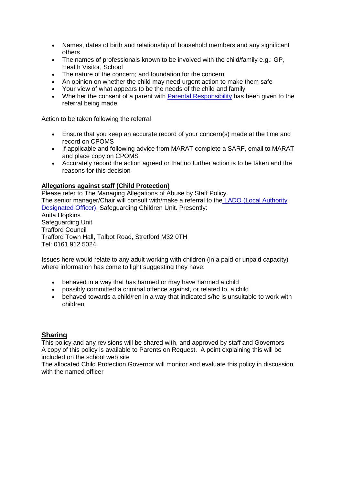- Names, dates of birth and relationship of household members and any significant others
- The names of professionals known to be involved with the child/family e.g.: GP, Health Visitor, School
- The nature of the concern; and foundation for the concern
- An opinion on whether the child may need urgent action to make them safe
- Your view of what appears to be the needs of the child and family
- Whether the consent of a parent with [Parental Responsibility](javascript:createTrackString() has been given to the referral being made

Action to be taken following the referral

- Ensure that you keep an accurate record of your concern(s) made at the time and record on CPOMS
- If applicable and following advice from MARAT complete a SARF, email to MARAT and place copy on CPOMS
- Accurately record the action agreed or that no further action is to be taken and the reasons for this decision

#### **Allegations against staff (Child Protection)**

Please refer to The Managing Allegations of Abuse by Staff Policy. The senior manager/Chair will consult with/make a referral to the [LADO \(Local Authority](http://services.salford.gov.uk/sscb-manual/keywords/Local_Authority_Designated_Officer.html)  [Designated Officer\),](http://services.salford.gov.uk/sscb-manual/keywords/Local_Authority_Designated_Officer.html) Safeguarding Children Unit. Presently: Anita Hopkins Safeguarding Unit Trafford Council Trafford Town Hall, Talbot Road, Stretford M32 0TH Tel: 0161 912 5024

Issues here would relate to any adult working with children (in a paid or unpaid capacity) where information has come to light suggesting they have:

- behaved in a way that has harmed or may have harmed a child
- possibly committed a criminal offence against, or related to, a child
- behaved towards a child/ren in a way that indicated s/he is unsuitable to work with children

#### **Sharing**

This policy and any revisions will be shared with, and approved by staff and Governors A copy of this policy is available to Parents on Request. A point explaining this will be included on the school web site

The allocated Child Protection Governor will monitor and evaluate this policy in discussion with the named officer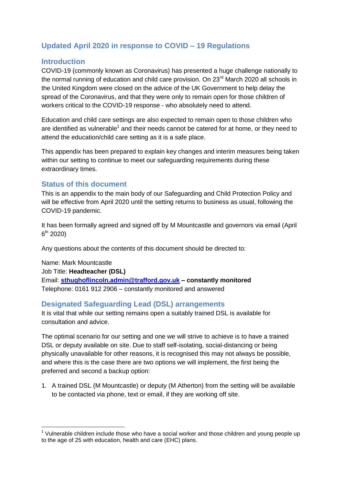# **Updated April 2020 in response to COVID – 19 Regulations**

#### **Introduction**

COVID-19 (commonly known as Coronavirus) has presented a huge challenge nationally to the normal running of education and child care provision. On 23<sup>rd</sup> March 2020 all schools in the United Kingdom were closed on the advice of the UK Government to help delay the spread of the Coronavirus, and that they were only to remain open for those children of workers critical to the COVID-19 response - who absolutely need to attend.

Education and child care settings are also expected to remain open to those children who are identified as vulnerable<sup>1</sup> and their needs cannot be catered for at home, or they need to attend the education/child care setting as it is a safe place.

This appendix has been prepared to explain key changes and interim measures being taken within our setting to continue to meet our safeguarding requirements during these extraordinary times.

#### **Status of this document**

1

This is an appendix to the main body of our Safeguarding and Child Protection Policy and will be effective from April 2020 until the setting returns to business as usual, following the COVID-19 pandemic.

It has been formally agreed and signed off by M Mountcastle and governors via email (April 6<sup>th</sup> 2020)

Any questions about the contents of this document should be directed to:

Name: Mark Mountcastle Job Title: **Headteacher (DSL)** Email: **[sthughoflincoln.admin@trafford.gov.uk](mailto:sthughoflincoln.admin@trafford.gov.uk) – constantly monitored** Telephone: 0161 912 2906 – constantly monitored and answered

#### **Designated Safeguarding Lead (DSL) arrangements**

It is vital that while our setting remains open a suitably trained DSL is available for consultation and advice.

The optimal scenario for our setting and one we will strive to achieve is to have a trained DSL or deputy available on site. Due to staff self-isolating, social-distancing or being physically unavailable for other reasons, it is recognised this may not always be possible, and where this is the case there are two options we will implement, the first being the preferred and second a backup option:

1. A trained DSL (M Mountcastle) or deputy (M Atherton) from the setting will be available to be contacted via phone, text or email, if they are working off site.

 $1$  Vulnerable children include those who have a social worker and those children and young people up to the age of 25 with education, health and care (EHC) plans.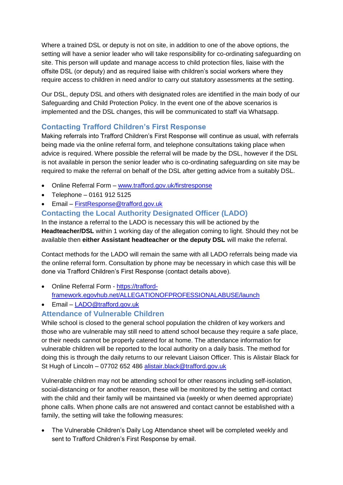Where a trained DSL or deputy is not on site, in addition to one of the above options, the setting will have a senior leader who will take responsibility for co-ordinating safeguarding on site. This person will update and manage access to child protection files, liaise with the offsite DSL (or deputy) and as required liaise with children's social workers where they require access to children in need and/or to carry out statutory assessments at the setting.

Our DSL, deputy DSL and others with designated roles are identified in the main body of our Safeguarding and Child Protection Policy. In the event one of the above scenarios is implemented and the DSL changes, this will be communicated to staff via Whatsapp.

# **Contacting Trafford Children's First Response**

Making referrals into Trafford Children's First Response will continue as usual, with referrals being made via the online referral form, and telephone consultations taking place when advice is required. Where possible the referral will be made by the DSL, however if the DSL is not available in person the senior leader who is co-ordinating safeguarding on site may be required to make the referral on behalf of the DSL after getting advice from a suitably DSL.

- Online Referral Form [www.trafford.gov.uk/firstresponse](http://www.trafford.gov.uk/firstresponse)
- $\bullet$  Telephone 0161 912 5125
- Email [FirstResponse@trafford.gov.uk](mailto:FirstResponse@trafford.gov.uk)

# **Contacting the Local Authority Designated Officer (LADO)**

In the instance a referral to the LADO is necessary this will be actioned by the **Headteacher/DSL** within 1 working day of the allegation coming to light. Should they not be available then **either Assistant headteacher or the deputy DSL** will make the referral.

Contact methods for the LADO will remain the same with all LADO referrals being made via the online referral form. Consultation by phone may be necessary in which case this will be done via Trafford Children's First Response (contact details above).

- Online Referral Form [https://trafford](https://trafford-framework.egovhub.net/ALLEGATIONOFPROFESSIONALABUSE/launch)[framework.egovhub.net/ALLEGATIONOFPROFESSIONALABUSE/launch](https://trafford-framework.egovhub.net/ALLEGATIONOFPROFESSIONALABUSE/launch)
- Email [LADO@trafford.gov.uk](mailto:LADO@trafford.gov.uk)

# **Attendance of Vulnerable Children**

While school is closed to the general school population the children of key workers and those who are vulnerable may still need to attend school because they require a safe place, or their needs cannot be properly catered for at home. The attendance information for vulnerable children will be reported to the local authority on a daily basis. The method for doing this is through the daily returns to our relevant Liaison Officer. This is Alistair Black for St Hugh of Lincoln – 07702 652 486 [alistair.black@trafford.gov.uk](mailto:alistair.black@trafford.gov.uk)

Vulnerable children may not be attending school for other reasons including self-isolation, social-distancing or for another reason, these will be monitored by the setting and contact with the child and their family will be maintained via (weekly or when deemed appropriate) phone calls. When phone calls are not answered and contact cannot be established with a family, the setting will take the following measures:

 The Vulnerable Children's Daily Log Attendance sheet will be completed weekly and sent to Trafford Children's First Response by email.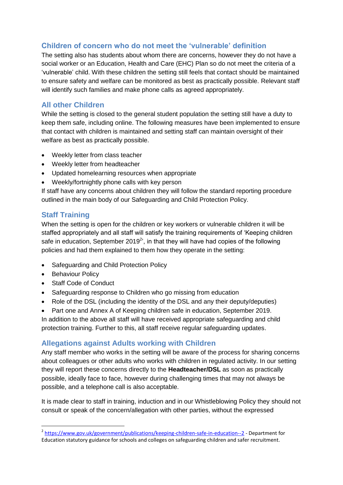# **Children of concern who do not meet the 'vulnerable' definition**

The setting also has students about whom there are concerns, however they do not have a social worker or an Education, Health and Care (EHC) Plan so do not meet the criteria of a 'vulnerable' child. With these children the setting still feels that contact should be maintained to ensure safety and welfare can be monitored as best as practically possible. Relevant staff will identify such families and make phone calls as agreed appropriately.

## **All other Children**

While the setting is closed to the general student population the setting still have a duty to keep them safe, including online. The following measures have been implemented to ensure that contact with children is maintained and setting staff can maintain oversight of their welfare as best as practically possible.

- Weekly letter from class teacher
- Weekly letter from headteacher
- Updated homelearning resources when appropriate
- Weekly/fortnightly phone calls with key person

If staff have any concerns about children they will follow the standard reporting procedure outlined in the main body of our Safeguarding and Child Protection Policy.

## **Staff Training**

When the setting is open for the children or key workers or vulnerable children it will be staffed appropriately and all staff will satisfy the training requirements of 'Keeping children safe in education, September 2019<sup>2</sup>, in that they will have had copies of the following policies and had them explained to them how they operate in the setting:

- Safeguarding and Child Protection Policy
- Behaviour Policy

<u>.</u>

- Staff Code of Conduct
- Safeguarding response to Children who go missing from education
- Role of the DSL (including the identity of the DSL and any their deputy/deputies)
- Part one and Annex A of Keeping children safe in education, September 2019.

In addition to the above all staff will have received appropriate safeguarding and child protection training. Further to this, all staff receive regular safeguarding updates.

## **Allegations against Adults working with Children**

Any staff member who works in the setting will be aware of the process for sharing concerns about colleagues or other adults who works with children in regulated activity. In our setting they will report these concerns directly to the **Headteacher/DSL** as soon as practically possible, ideally face to face, however during challenging times that may not always be possible, and a telephone call is also acceptable.

It is made clear to staff in training, induction and in our Whistleblowing Policy they should not consult or speak of the concern/allegation with other parties, without the expressed

<sup>&</sup>lt;sup>2</sup> <https://www.gov.uk/government/publications/keeping-children-safe-in-education--2> - Department for Education statutory guidance for schools and colleges on safeguarding children and safer recruitment.